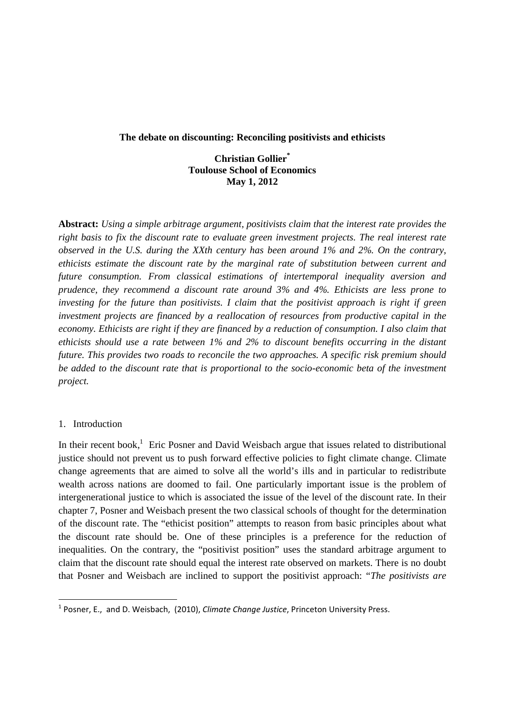#### **The debate on discounting: Reconciling positivists and ethicists**

## **Christian Gollier\* Toulouse School of Economics May 1, 2012**

**Abstract:** *Using a simple arbitrage argument, positivists claim that the interest rate provides the right basis to fix the discount rate to evaluate green investment projects. The real interest rate observed in the U.S. during the XXth century has been around 1% and 2%. On the contrary, ethicists estimate the discount rate by the marginal rate of substitution between current and future consumption. From classical estimations of intertemporal inequality aversion and prudence, they recommend a discount rate around 3% and 4%. Ethicists are less prone to investing for the future than positivists. I claim that the positivist approach is right if green investment projects are financed by a reallocation of resources from productive capital in the economy. Ethicists are right if they are financed by a reduction of consumption. I also claim that ethicists should use a rate between 1% and 2% to discount benefits occurring in the distant future. This provides two roads to reconcile the two approaches. A specific risk premium should be added to the discount rate that is proportional to the socio-economic beta of the investment project.* 

## 1. Introduction

In their recent book,<sup>1</sup> Eric Posner and David Weisbach argue that issues related to distributional justice should not prevent us to push forward effective policies to fight climate change. Climate change agreements that are aimed to solve all the world's ills and in particular to redistribute wealth across nations are doomed to fail. One particularly important issue is the problem of intergenerational justice to which is associated the issue of the level of the discount rate. In their chapter 7, Posner and Weisbach present the two classical schools of thought for the determination of the discount rate. The "ethicist position" attempts to reason from basic principles about what the discount rate should be. One of these principles is a preference for the reduction of inequalities. On the contrary, the "positivist position" uses the standard arbitrage argument to claim that the discount rate should equal the interest rate observed on markets. There is no doubt that Posner and Weisbach are inclined to support the positivist approach: "*The positivists are* 

<sup>1</sup> Posner, E., and D. Weisbach, (2010), *Climate Change Justice*, Princeton University Press.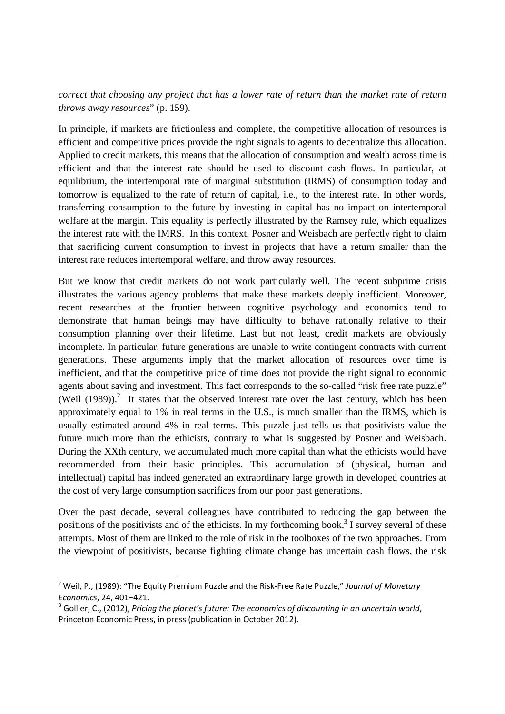*correct that choosing any project that has a lower rate of return than the market rate of return throws away resources*" (p. 159).

In principle, if markets are frictionless and complete, the competitive allocation of resources is efficient and competitive prices provide the right signals to agents to decentralize this allocation. Applied to credit markets, this means that the allocation of consumption and wealth across time is efficient and that the interest rate should be used to discount cash flows. In particular, at equilibrium, the intertemporal rate of marginal substitution (IRMS) of consumption today and tomorrow is equalized to the rate of return of capital, i.e., to the interest rate. In other words, transferring consumption to the future by investing in capital has no impact on intertemporal welfare at the margin. This equality is perfectly illustrated by the Ramsey rule, which equalizes the interest rate with the IMRS. In this context, Posner and Weisbach are perfectly right to claim that sacrificing current consumption to invest in projects that have a return smaller than the interest rate reduces intertemporal welfare, and throw away resources.

But we know that credit markets do not work particularly well. The recent subprime crisis illustrates the various agency problems that make these markets deeply inefficient. Moreover, recent researches at the frontier between cognitive psychology and economics tend to demonstrate that human beings may have difficulty to behave rationally relative to their consumption planning over their lifetime. Last but not least, credit markets are obviously incomplete. In particular, future generations are unable to write contingent contracts with current generations. These arguments imply that the market allocation of resources over time is inefficient, and that the competitive price of time does not provide the right signal to economic agents about saving and investment. This fact corresponds to the so-called "risk free rate puzzle" (Weil  $(1989)$ ).<sup>2</sup> It states that the observed interest rate over the last century, which has been approximately equal to 1% in real terms in the U.S., is much smaller than the IRMS, which is usually estimated around 4% in real terms. This puzzle just tells us that positivists value the future much more than the ethicists, contrary to what is suggested by Posner and Weisbach. During the XXth century, we accumulated much more capital than what the ethicists would have recommended from their basic principles. This accumulation of (physical, human and intellectual) capital has indeed generated an extraordinary large growth in developed countries at the cost of very large consumption sacrifices from our poor past generations.

Over the past decade, several colleagues have contributed to reducing the gap between the positions of the positivists and of the ethicists. In my forthcoming book,<sup>3</sup> I survey several of these attempts. Most of them are linked to the role of risk in the toolboxes of the two approaches. From the viewpoint of positivists, because fighting climate change has uncertain cash flows, the risk

<sup>2</sup> Weil, P., (1989): "The Equity Premium Puzzle and the Risk‐Free Rate Puzzle," *Journal of Monetary Economics*, 24, 401–421.

<sup>3</sup> Gollier, C., (2012), *Pricing the planet's future: The economics of discounting in an uncertain world*, Princeton Economic Press, in press (publication in October 2012).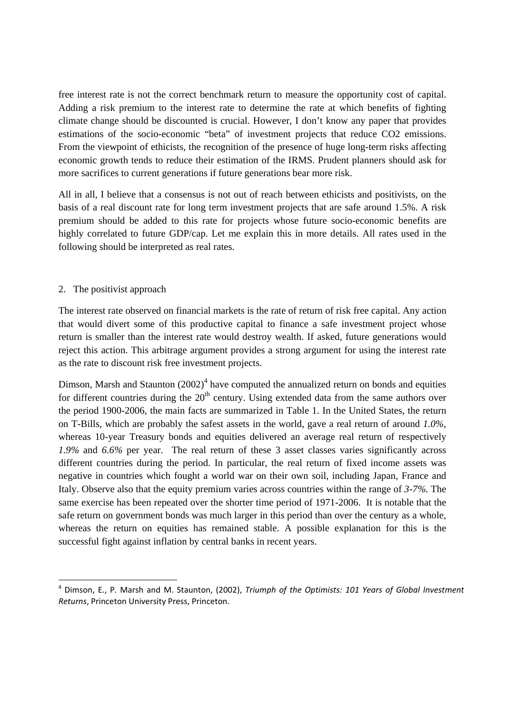free interest rate is not the correct benchmark return to measure the opportunity cost of capital. Adding a risk premium to the interest rate to determine the rate at which benefits of fighting climate change should be discounted is crucial. However, I don't know any paper that provides estimations of the socio-economic "beta" of investment projects that reduce CO2 emissions. From the viewpoint of ethicists, the recognition of the presence of huge long-term risks affecting economic growth tends to reduce their estimation of the IRMS. Prudent planners should ask for more sacrifices to current generations if future generations bear more risk.

All in all, I believe that a consensus is not out of reach between ethicists and positivists, on the basis of a real discount rate for long term investment projects that are safe around 1.5%. A risk premium should be added to this rate for projects whose future socio-economic benefits are highly correlated to future GDP/cap. Let me explain this in more details. All rates used in the following should be interpreted as real rates.

# 2. The positivist approach

The interest rate observed on financial markets is the rate of return of risk free capital. Any action that would divert some of this productive capital to finance a safe investment project whose return is smaller than the interest rate would destroy wealth. If asked, future generations would reject this action. This arbitrage argument provides a strong argument for using the interest rate as the rate to discount risk free investment projects.

Dimson, Marsh and Staunton  $(2002)^4$  have computed the annualized return on bonds and equities for different countries during the  $20<sup>th</sup>$  century. Using extended data from the same authors over the period 1900-2006, the main facts are summarized in Table 1. In the United States, the return on T-Bills, which are probably the safest assets in the world, gave a real return of around *1.0%*, whereas 10-year Treasury bonds and equities delivered an average real return of respectively *1.9%* and *6.6%* per year. The real return of these 3 asset classes varies significantly across different countries during the period. In particular, the real return of fixed income assets was negative in countries which fought a world war on their own soil, including Japan, France and Italy. Observe also that the equity premium varies across countries within the range of *3-7%*. The same exercise has been repeated over the shorter time period of 1971-2006. It is notable that the safe return on government bonds was much larger in this period than over the century as a whole, whereas the return on equities has remained stable. A possible explanation for this is the successful fight against inflation by central banks in recent years.

<sup>4</sup> Dimson, E., P. Marsh and M. Staunton, (2002), *Triumph of the Optimists: 101 Years of Global Investment Returns*, Princeton University Press, Princeton.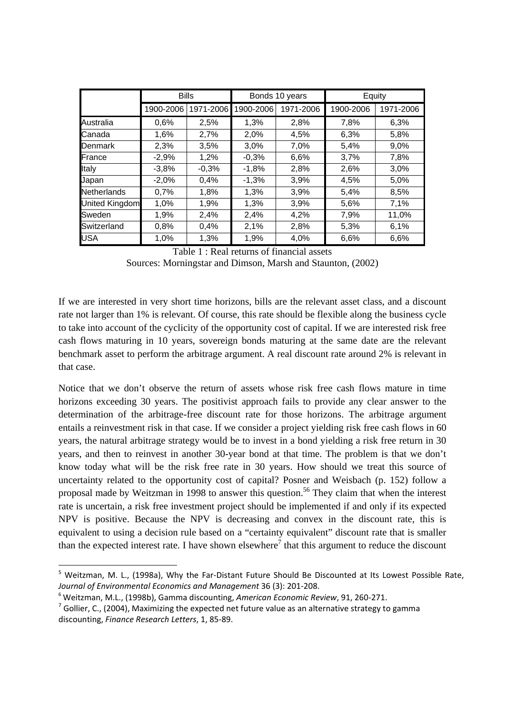|                | <b>Bills</b> |           | Bonds 10 years |           | Equity    |           |
|----------------|--------------|-----------|----------------|-----------|-----------|-----------|
|                | 1900-2006    | 1971-2006 | 1900-2006      | 1971-2006 | 1900-2006 | 1971-2006 |
| Australia      | 0,6%         | 2,5%      | 1,3%           | 2,8%      | 7,8%      | 6,3%      |
| Canada         | 1,6%         | 2,7%      | 2,0%           | 4,5%      | 6,3%      | 5,8%      |
| Denmark        | 2,3%         | 3,5%      | 3,0%           | 7,0%      | 5,4%      | 9,0%      |
| France         | $-2,9%$      | 1,2%      | $-0,3%$        | 6,6%      | 3,7%      | 7,8%      |
| Italy          | $-3,8%$      | $-0,3%$   | $-1,8%$        | 2,8%      | 2,6%      | 3,0%      |
| Japan          | $-2,0%$      | 0,4%      | $-1,3%$        | 3,9%      | 4,5%      | 5,0%      |
| Netherlands    | 0,7%         | 1,8%      | 1,3%           | 3,9%      | 5,4%      | 8,5%      |
| United Kingdom | 1,0%         | 1,9%      | 1,3%           | 3,9%      | 5,6%      | 7,1%      |
| Sweden         | 1,9%         | 2,4%      | 2,4%           | 4,2%      | 7,9%      | 11,0%     |
| Switzerland    | 0,8%         | 0,4%      | 2,1%           | 2,8%      | 5,3%      | 6,1%      |
| <b>USA</b>     | 1,0%         | 1,3%      | 1,9%           | 4,0%      | 6,6%      | 6,6%      |

Table 1 : Real returns of financial assets

Sources: Morningstar and Dimson, Marsh and Staunton, (2002)

If we are interested in very short time horizons, bills are the relevant asset class, and a discount rate not larger than 1% is relevant. Of course, this rate should be flexible along the business cycle to take into account of the cyclicity of the opportunity cost of capital. If we are interested risk free cash flows maturing in 10 years, sovereign bonds maturing at the same date are the relevant benchmark asset to perform the arbitrage argument. A real discount rate around 2% is relevant in that case.

Notice that we don't observe the return of assets whose risk free cash flows mature in time horizons exceeding 30 years. The positivist approach fails to provide any clear answer to the determination of the arbitrage-free discount rate for those horizons. The arbitrage argument entails a reinvestment risk in that case. If we consider a project yielding risk free cash flows in 60 years, the natural arbitrage strategy would be to invest in a bond yielding a risk free return in 30 years, and then to reinvest in another 30-year bond at that time. The problem is that we don't know today what will be the risk free rate in 30 years. How should we treat this source of uncertainty related to the opportunity cost of capital? Posner and Weisbach (p. 152) follow a proposal made by Weitzman in 1998 to answer this question.<sup>56</sup> They claim that when the interest rate is uncertain, a risk free investment project should be implemented if and only if its expected NPV is positive. Because the NPV is decreasing and convex in the discount rate, this is equivalent to using a decision rule based on a "certainty equivalent" discount rate that is smaller than the expected interest rate. I have shown elsewhere<sup>7</sup> that this argument to reduce the discount

<sup>&</sup>lt;sup>5</sup> Weitzman, M. L., (1998a), Why the Far-Distant Future Should Be Discounted at Its Lowest Possible Rate, *Journal of Environmental Economics and Management* 36 (3): 201‐208.

<sup>6</sup> Weitzman, M.L., (1998b), Gamma discounting, *American Economic Review*, 91, 260‐271.

 $7$  Gollier, C., (2004), Maximizing the expected net future value as an alternative strategy to gamma discounting, *Finance Research Letters*, 1, 85‐89.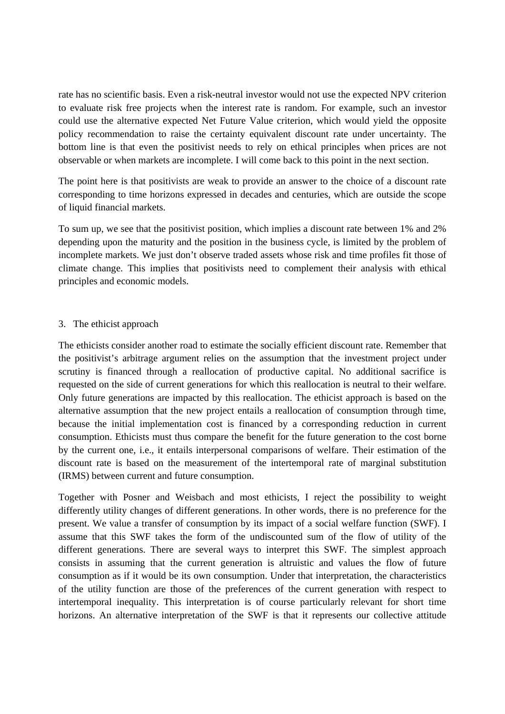rate has no scientific basis. Even a risk-neutral investor would not use the expected NPV criterion to evaluate risk free projects when the interest rate is random. For example, such an investor could use the alternative expected Net Future Value criterion, which would yield the opposite policy recommendation to raise the certainty equivalent discount rate under uncertainty. The bottom line is that even the positivist needs to rely on ethical principles when prices are not observable or when markets are incomplete. I will come back to this point in the next section.

The point here is that positivists are weak to provide an answer to the choice of a discount rate corresponding to time horizons expressed in decades and centuries, which are outside the scope of liquid financial markets.

To sum up, we see that the positivist position, which implies a discount rate between 1% and 2% depending upon the maturity and the position in the business cycle, is limited by the problem of incomplete markets. We just don't observe traded assets whose risk and time profiles fit those of climate change. This implies that positivists need to complement their analysis with ethical principles and economic models.

## 3. The ethicist approach

The ethicists consider another road to estimate the socially efficient discount rate. Remember that the positivist's arbitrage argument relies on the assumption that the investment project under scrutiny is financed through a reallocation of productive capital. No additional sacrifice is requested on the side of current generations for which this reallocation is neutral to their welfare. Only future generations are impacted by this reallocation. The ethicist approach is based on the alternative assumption that the new project entails a reallocation of consumption through time, because the initial implementation cost is financed by a corresponding reduction in current consumption. Ethicists must thus compare the benefit for the future generation to the cost borne by the current one, i.e., it entails interpersonal comparisons of welfare. Their estimation of the discount rate is based on the measurement of the intertemporal rate of marginal substitution (IRMS) between current and future consumption.

Together with Posner and Weisbach and most ethicists, I reject the possibility to weight differently utility changes of different generations. In other words, there is no preference for the present. We value a transfer of consumption by its impact of a social welfare function (SWF). I assume that this SWF takes the form of the undiscounted sum of the flow of utility of the different generations. There are several ways to interpret this SWF. The simplest approach consists in assuming that the current generation is altruistic and values the flow of future consumption as if it would be its own consumption. Under that interpretation, the characteristics of the utility function are those of the preferences of the current generation with respect to intertemporal inequality. This interpretation is of course particularly relevant for short time horizons. An alternative interpretation of the SWF is that it represents our collective attitude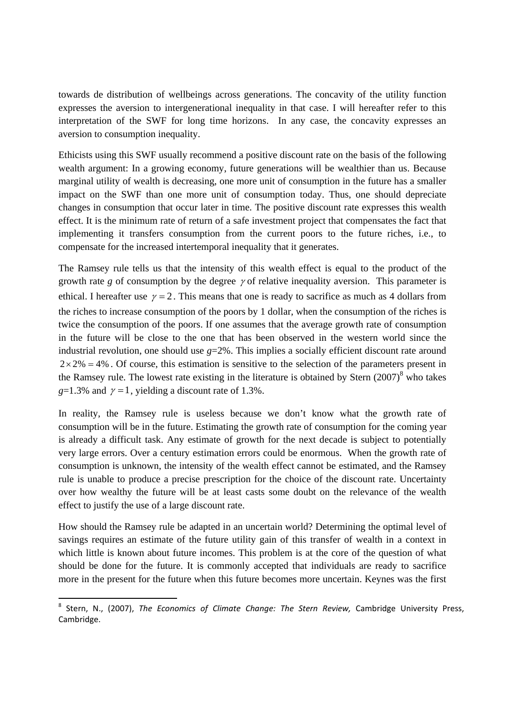towards de distribution of wellbeings across generations. The concavity of the utility function expresses the aversion to intergenerational inequality in that case. I will hereafter refer to this interpretation of the SWF for long time horizons. In any case, the concavity expresses an aversion to consumption inequality.

Ethicists using this SWF usually recommend a positive discount rate on the basis of the following wealth argument: In a growing economy, future generations will be wealthier than us. Because marginal utility of wealth is decreasing, one more unit of consumption in the future has a smaller impact on the SWF than one more unit of consumption today. Thus, one should depreciate changes in consumption that occur later in time. The positive discount rate expresses this wealth effect. It is the minimum rate of return of a safe investment project that compensates the fact that implementing it transfers consumption from the current poors to the future riches, i.e., to compensate for the increased intertemporal inequality that it generates.

The Ramsey rule tells us that the intensity of this wealth effect is equal to the product of the growth rate *g* of consumption by the degree  $\gamma$  of relative inequality aversion. This parameter is ethical. I hereafter use  $\gamma = 2$ . This means that one is ready to sacrifice as much as 4 dollars from the riches to increase consumption of the poors by 1 dollar, when the consumption of the riches is twice the consumption of the poors. If one assumes that the average growth rate of consumption in the future will be close to the one that has been observed in the western world since the industrial revolution, one should use  $g=2\%$ . This implies a socially efficient discount rate around  $2 \times 2\% = 4\%$ . Of course, this estimation is sensitive to the selection of the parameters present in the Ramsey rule. The lowest rate existing in the literature is obtained by Stern  $(2007)^{8}$  who takes  $g=1.3\%$  and  $\gamma=1$ , yielding a discount rate of 1.3%.

In reality, the Ramsey rule is useless because we don't know what the growth rate of consumption will be in the future. Estimating the growth rate of consumption for the coming year is already a difficult task. Any estimate of growth for the next decade is subject to potentially very large errors. Over a century estimation errors could be enormous. When the growth rate of consumption is unknown, the intensity of the wealth effect cannot be estimated, and the Ramsey rule is unable to produce a precise prescription for the choice of the discount rate. Uncertainty over how wealthy the future will be at least casts some doubt on the relevance of the wealth effect to justify the use of a large discount rate.

How should the Ramsey rule be adapted in an uncertain world? Determining the optimal level of savings requires an estimate of the future utility gain of this transfer of wealth in a context in which little is known about future incomes. This problem is at the core of the question of what should be done for the future. It is commonly accepted that individuals are ready to sacrifice more in the present for the future when this future becomes more uncertain. Keynes was the first

<sup>8</sup> Stern, N., (2007), *The Economics of Climate Change: The Stern Review,* Cambridge University Press, Cambridge.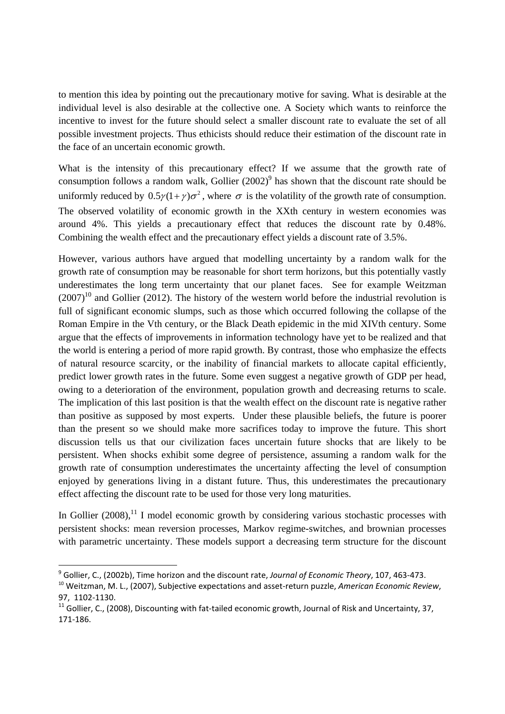to mention this idea by pointing out the precautionary motive for saving. What is desirable at the individual level is also desirable at the collective one. A Society which wants to reinforce the incentive to invest for the future should select a smaller discount rate to evaluate the set of all possible investment projects. Thus ethicists should reduce their estimation of the discount rate in the face of an uncertain economic growth.

What is the intensity of this precautionary effect? If we assume that the growth rate of consumption follows a random walk, Gollier  $(2002)^9$  has shown that the discount rate should be uniformly reduced by  $0.5 \gamma (1 + \gamma) \sigma^2$ , where  $\sigma$  is the volatility of the growth rate of consumption. The observed volatility of economic growth in the XXth century in western economies was around 4%. This yields a precautionary effect that reduces the discount rate by 0.48%. Combining the wealth effect and the precautionary effect yields a discount rate of 3.5%.

However, various authors have argued that modelling uncertainty by a random walk for the growth rate of consumption may be reasonable for short term horizons, but this potentially vastly underestimates the long term uncertainty that our planet faces. See for example Weitzman  $(2007)^{10}$  and Gollier (2012). The history of the western world before the industrial revolution is full of significant economic slumps, such as those which occurred following the collapse of the Roman Empire in the Vth century, or the Black Death epidemic in the mid XIVth century. Some argue that the effects of improvements in information technology have yet to be realized and that the world is entering a period of more rapid growth. By contrast, those who emphasize the effects of natural resource scarcity, or the inability of financial markets to allocate capital efficiently, predict lower growth rates in the future. Some even suggest a negative growth of GDP per head, owing to a deterioration of the environment, population growth and decreasing returns to scale. The implication of this last position is that the wealth effect on the discount rate is negative rather than positive as supposed by most experts. Under these plausible beliefs, the future is poorer than the present so we should make more sacrifices today to improve the future. This short discussion tells us that our civilization faces uncertain future shocks that are likely to be persistent. When shocks exhibit some degree of persistence, assuming a random walk for the growth rate of consumption underestimates the uncertainty affecting the level of consumption enjoyed by generations living in a distant future. Thus, this underestimates the precautionary effect affecting the discount rate to be used for those very long maturities.

In Gollier  $(2008)$ ,<sup>11</sup> I model economic growth by considering various stochastic processes with persistent shocks: mean reversion processes, Markov regime-switches, and brownian processes with parametric uncertainty. These models support a decreasing term structure for the discount

 <sup>9</sup> Gollier, C., (2002b), Time horizon and the discount rate, *Journal of Economic Theory*, 107, 463‐473.

<sup>10</sup> Weitzman, M. L., (2007), Subjective expectations and asset‐return puzzle, *American Economic Review*, 97, 1102‐1130.

 $11$  Gollier, C., (2008), Discounting with fat-tailed economic growth, Journal of Risk and Uncertainty, 37, 171‐186.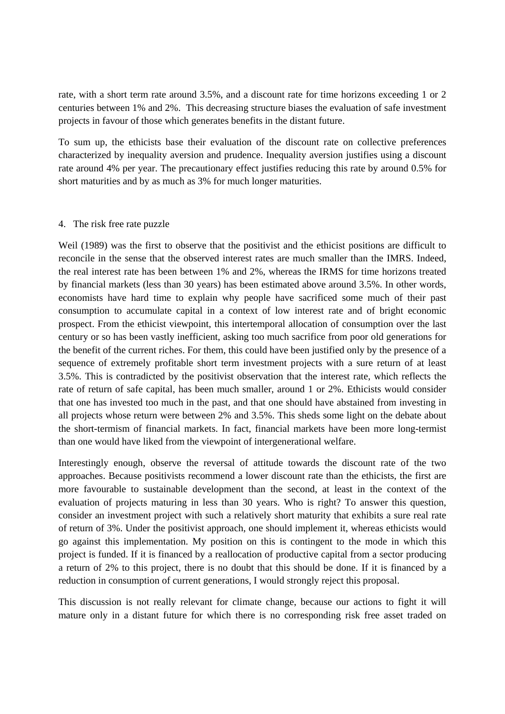rate, with a short term rate around 3.5%, and a discount rate for time horizons exceeding 1 or 2 centuries between 1% and 2%. This decreasing structure biases the evaluation of safe investment projects in favour of those which generates benefits in the distant future.

To sum up, the ethicists base their evaluation of the discount rate on collective preferences characterized by inequality aversion and prudence. Inequality aversion justifies using a discount rate around 4% per year. The precautionary effect justifies reducing this rate by around 0.5% for short maturities and by as much as 3% for much longer maturities.

#### 4. The risk free rate puzzle

Weil (1989) was the first to observe that the positivist and the ethicist positions are difficult to reconcile in the sense that the observed interest rates are much smaller than the IMRS. Indeed, the real interest rate has been between 1% and 2%, whereas the IRMS for time horizons treated by financial markets (less than 30 years) has been estimated above around 3.5%. In other words, economists have hard time to explain why people have sacrificed some much of their past consumption to accumulate capital in a context of low interest rate and of bright economic prospect. From the ethicist viewpoint, this intertemporal allocation of consumption over the last century or so has been vastly inefficient, asking too much sacrifice from poor old generations for the benefit of the current riches. For them, this could have been justified only by the presence of a sequence of extremely profitable short term investment projects with a sure return of at least 3.5%. This is contradicted by the positivist observation that the interest rate, which reflects the rate of return of safe capital, has been much smaller, around 1 or 2%. Ethicists would consider that one has invested too much in the past, and that one should have abstained from investing in all projects whose return were between 2% and 3.5%. This sheds some light on the debate about the short-termism of financial markets. In fact, financial markets have been more long-termist than one would have liked from the viewpoint of intergenerational welfare.

Interestingly enough, observe the reversal of attitude towards the discount rate of the two approaches. Because positivists recommend a lower discount rate than the ethicists, the first are more favourable to sustainable development than the second, at least in the context of the evaluation of projects maturing in less than 30 years. Who is right? To answer this question, consider an investment project with such a relatively short maturity that exhibits a sure real rate of return of 3%. Under the positivist approach, one should implement it, whereas ethicists would go against this implementation. My position on this is contingent to the mode in which this project is funded. If it is financed by a reallocation of productive capital from a sector producing a return of 2% to this project, there is no doubt that this should be done. If it is financed by a reduction in consumption of current generations, I would strongly reject this proposal.

This discussion is not really relevant for climate change, because our actions to fight it will mature only in a distant future for which there is no corresponding risk free asset traded on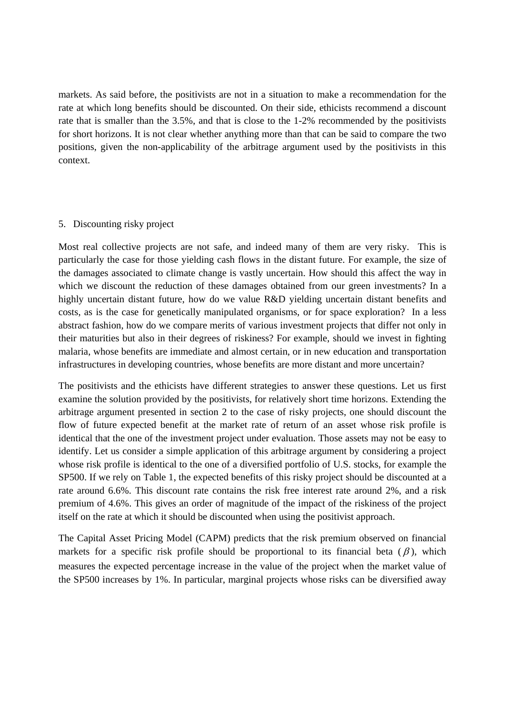markets. As said before, the positivists are not in a situation to make a recommendation for the rate at which long benefits should be discounted. On their side, ethicists recommend a discount rate that is smaller than the 3.5%, and that is close to the 1-2% recommended by the positivists for short horizons. It is not clear whether anything more than that can be said to compare the two positions, given the non-applicability of the arbitrage argument used by the positivists in this context.

## 5. Discounting risky project

Most real collective projects are not safe, and indeed many of them are very risky. This is particularly the case for those yielding cash flows in the distant future. For example, the size of the damages associated to climate change is vastly uncertain. How should this affect the way in which we discount the reduction of these damages obtained from our green investments? In a highly uncertain distant future, how do we value R&D yielding uncertain distant benefits and costs, as is the case for genetically manipulated organisms, or for space exploration? In a less abstract fashion, how do we compare merits of various investment projects that differ not only in their maturities but also in their degrees of riskiness? For example, should we invest in fighting malaria, whose benefits are immediate and almost certain, or in new education and transportation infrastructures in developing countries, whose benefits are more distant and more uncertain?

The positivists and the ethicists have different strategies to answer these questions. Let us first examine the solution provided by the positivists, for relatively short time horizons. Extending the arbitrage argument presented in section 2 to the case of risky projects, one should discount the flow of future expected benefit at the market rate of return of an asset whose risk profile is identical that the one of the investment project under evaluation. Those assets may not be easy to identify. Let us consider a simple application of this arbitrage argument by considering a project whose risk profile is identical to the one of a diversified portfolio of U.S. stocks, for example the SP500. If we rely on Table 1, the expected benefits of this risky project should be discounted at a rate around 6.6%. This discount rate contains the risk free interest rate around 2%, and a risk premium of 4.6%. This gives an order of magnitude of the impact of the riskiness of the project itself on the rate at which it should be discounted when using the positivist approach.

The Capital Asset Pricing Model (CAPM) predicts that the risk premium observed on financial markets for a specific risk profile should be proportional to its financial beta  $(\beta)$ , which measures the expected percentage increase in the value of the project when the market value of the SP500 increases by 1%. In particular, marginal projects whose risks can be diversified away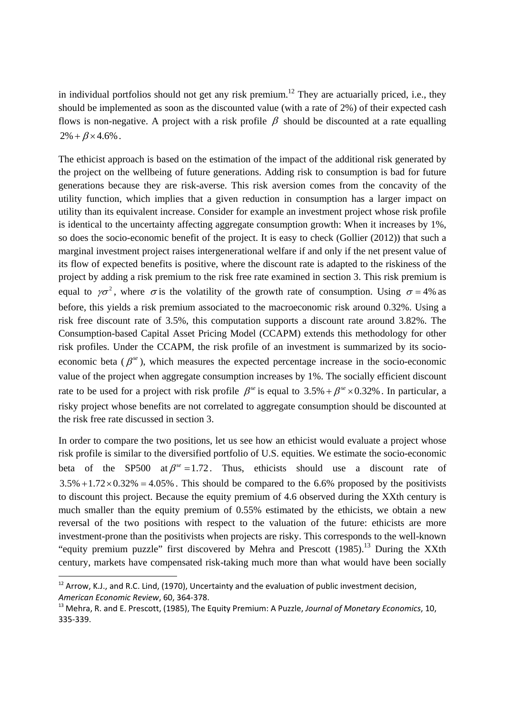in individual portfolios should not get any risk premium.<sup>12</sup> They are actuarially priced, i.e., they should be implemented as soon as the discounted value (with a rate of 2%) of their expected cash flows is non-negative. A project with a risk profile  $\beta$  should be discounted at a rate equalling  $2\% + \beta \times 4.6\%$ .

The ethicist approach is based on the estimation of the impact of the additional risk generated by the project on the wellbeing of future generations. Adding risk to consumption is bad for future generations because they are risk-averse. This risk aversion comes from the concavity of the utility function, which implies that a given reduction in consumption has a larger impact on utility than its equivalent increase. Consider for example an investment project whose risk profile is identical to the uncertainty affecting aggregate consumption growth: When it increases by 1%, so does the socio-economic benefit of the project. It is easy to check (Gollier (2012)) that such a marginal investment project raises intergenerational welfare if and only if the net present value of its flow of expected benefits is positive, where the discount rate is adapted to the riskiness of the project by adding a risk premium to the risk free rate examined in section 3. This risk premium is equal to  $\gamma \sigma^2$ , where  $\sigma$  is the volatility of the growth rate of consumption. Using  $\sigma = 4\%$  as before, this yields a risk premium associated to the macroeconomic risk around 0.32%. Using a risk free discount rate of 3.5%, this computation supports a discount rate around 3.82%. The Consumption-based Capital Asset Pricing Model (CCAPM) extends this methodology for other risk profiles. Under the CCAPM, the risk profile of an investment is summarized by its socioeconomic beta  $(\beta^{se})$ , which measures the expected percentage increase in the socio-economic value of the project when aggregate consumption increases by 1%. The socially efficient discount rate to be used for a project with risk profile  $\beta^{se}$  is equal to 3.5% +  $\beta^{se} \times 0.32$ %. In particular, a risky project whose benefits are not correlated to aggregate consumption should be discounted at the risk free rate discussed in section 3.

In order to compare the two positions, let us see how an ethicist would evaluate a project whose risk profile is similar to the diversified portfolio of U.S. equities. We estimate the socio-economic beta of the SP500 at  $\beta^{se} = 1.72$ . Thus, ethicists should use a discount rate of  $3.5\% +1.72 \times 0.32\% = 4.05\%$ . This should be compared to the 6.6% proposed by the positivists to discount this project. Because the equity premium of 4.6 observed during the XXth century is much smaller than the equity premium of 0.55% estimated by the ethicists, we obtain a new reversal of the two positions with respect to the valuation of the future: ethicists are more investment-prone than the positivists when projects are risky. This corresponds to the well-known "equity premium puzzle" first discovered by Mehra and Prescott  $(1985)$ .<sup>13</sup> During the XXth century, markets have compensated risk-taking much more than what would have been socially

 $12$  Arrow, K.J., and R.C. Lind, (1970), Uncertainty and the evaluation of public investment decision, *American Economic Review*, 60, 364‐378.

<sup>13</sup> Mehra, R. and E. Prescott, (1985), The Equity Premium: A Puzzle, *Journal of Monetary Economics*, 10, 335‐339.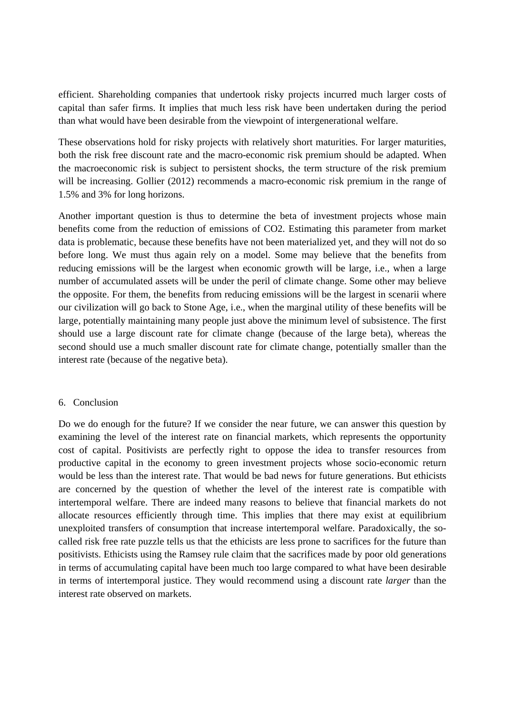efficient. Shareholding companies that undertook risky projects incurred much larger costs of capital than safer firms. It implies that much less risk have been undertaken during the period than what would have been desirable from the viewpoint of intergenerational welfare.

These observations hold for risky projects with relatively short maturities. For larger maturities, both the risk free discount rate and the macro-economic risk premium should be adapted. When the macroeconomic risk is subject to persistent shocks, the term structure of the risk premium will be increasing. Gollier (2012) recommends a macro-economic risk premium in the range of 1.5% and 3% for long horizons.

Another important question is thus to determine the beta of investment projects whose main benefits come from the reduction of emissions of CO2. Estimating this parameter from market data is problematic, because these benefits have not been materialized yet, and they will not do so before long. We must thus again rely on a model. Some may believe that the benefits from reducing emissions will be the largest when economic growth will be large, i.e., when a large number of accumulated assets will be under the peril of climate change. Some other may believe the opposite. For them, the benefits from reducing emissions will be the largest in scenarii where our civilization will go back to Stone Age, i.e., when the marginal utility of these benefits will be large, potentially maintaining many people just above the minimum level of subsistence. The first should use a large discount rate for climate change (because of the large beta), whereas the second should use a much smaller discount rate for climate change, potentially smaller than the interest rate (because of the negative beta).

## 6. Conclusion

Do we do enough for the future? If we consider the near future, we can answer this question by examining the level of the interest rate on financial markets, which represents the opportunity cost of capital. Positivists are perfectly right to oppose the idea to transfer resources from productive capital in the economy to green investment projects whose socio-economic return would be less than the interest rate. That would be bad news for future generations. But ethicists are concerned by the question of whether the level of the interest rate is compatible with intertemporal welfare. There are indeed many reasons to believe that financial markets do not allocate resources efficiently through time. This implies that there may exist at equilibrium unexploited transfers of consumption that increase intertemporal welfare. Paradoxically, the socalled risk free rate puzzle tells us that the ethicists are less prone to sacrifices for the future than positivists. Ethicists using the Ramsey rule claim that the sacrifices made by poor old generations in terms of accumulating capital have been much too large compared to what have been desirable in terms of intertemporal justice. They would recommend using a discount rate *larger* than the interest rate observed on markets.